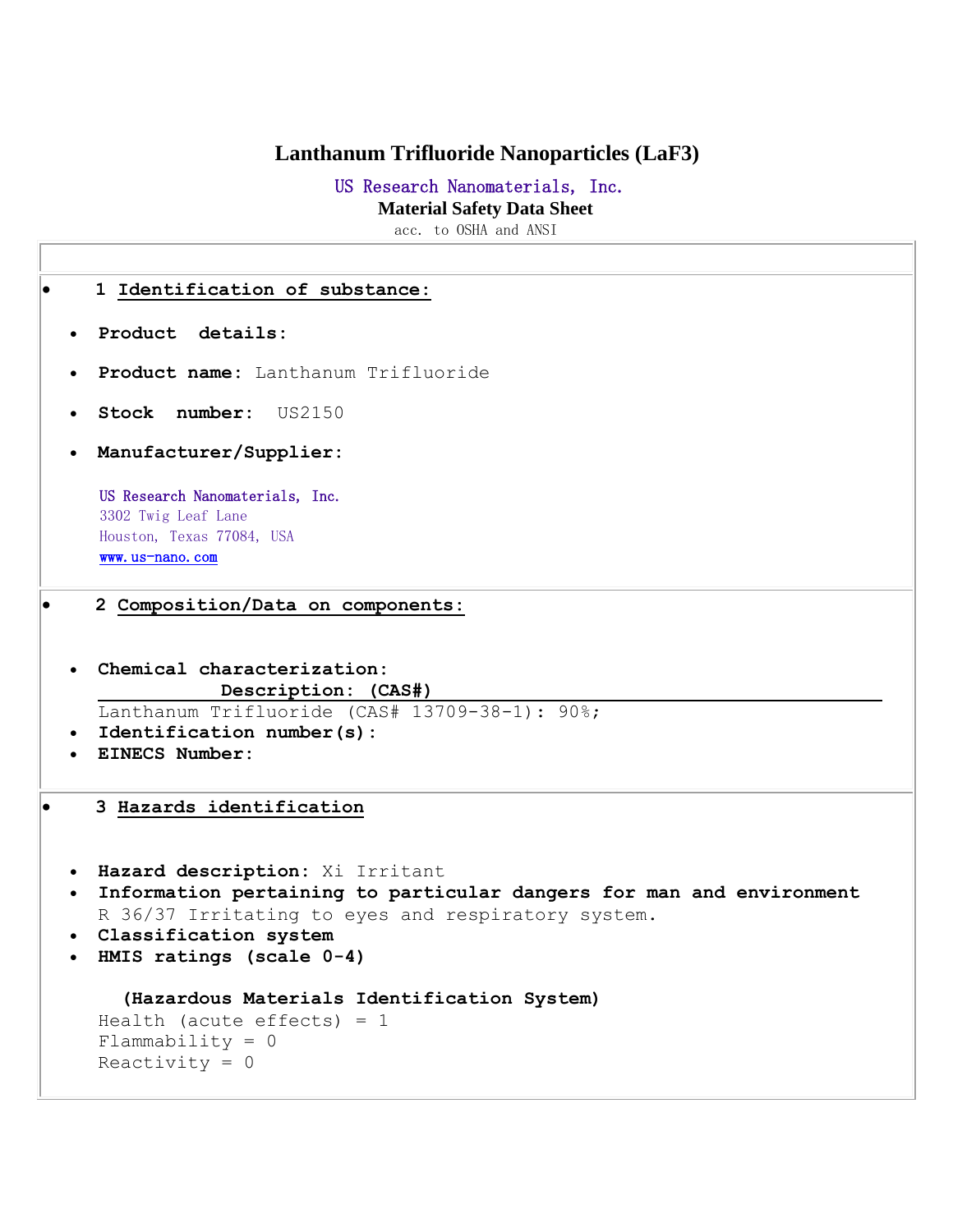## **Lanthanum Trifluoride Nanoparticles (LaF3)**

# US Research Nanomaterials, Inc.

 **Material Safety Data Sheet**

acc. to OSHA and ANSI

|                        | 1 Identification of substance:                                                                                                                                                                                          |  |  |
|------------------------|-------------------------------------------------------------------------------------------------------------------------------------------------------------------------------------------------------------------------|--|--|
|                        | · Product details:                                                                                                                                                                                                      |  |  |
|                        | Product name: Lanthanum Trifluoride<br>$\bullet$<br>Stock number: US2150<br>$\bullet$                                                                                                                                   |  |  |
|                        |                                                                                                                                                                                                                         |  |  |
| $\bullet$              | Manufacturer/Supplier:                                                                                                                                                                                                  |  |  |
|                        | US Research Nanomaterials, Inc.<br>3302 Twig Leaf Lane<br>Houston, Texas 77084, USA<br>www.us-nano.com                                                                                                                  |  |  |
|                        | 2 Composition/Data on components:                                                                                                                                                                                       |  |  |
|                        | Chemical characterization:<br>$\bullet$<br>Description: (CAS#)<br>Lanthanum Trifluoride (CAS# 13709-38-1): 90%;<br>Identification number(s):<br><b>EINECS Number:</b>                                                   |  |  |
|                        |                                                                                                                                                                                                                         |  |  |
|                        | 3 Hazards identification                                                                                                                                                                                                |  |  |
| $\bullet$<br>$\bullet$ | · Hazard description: Xi Irritant<br>Information pertaining to particular dangers for man and environment<br>R 36/37 Irritating to eyes and respiratory system.<br>Classification system<br>HMIS ratings (scale $0-4$ ) |  |  |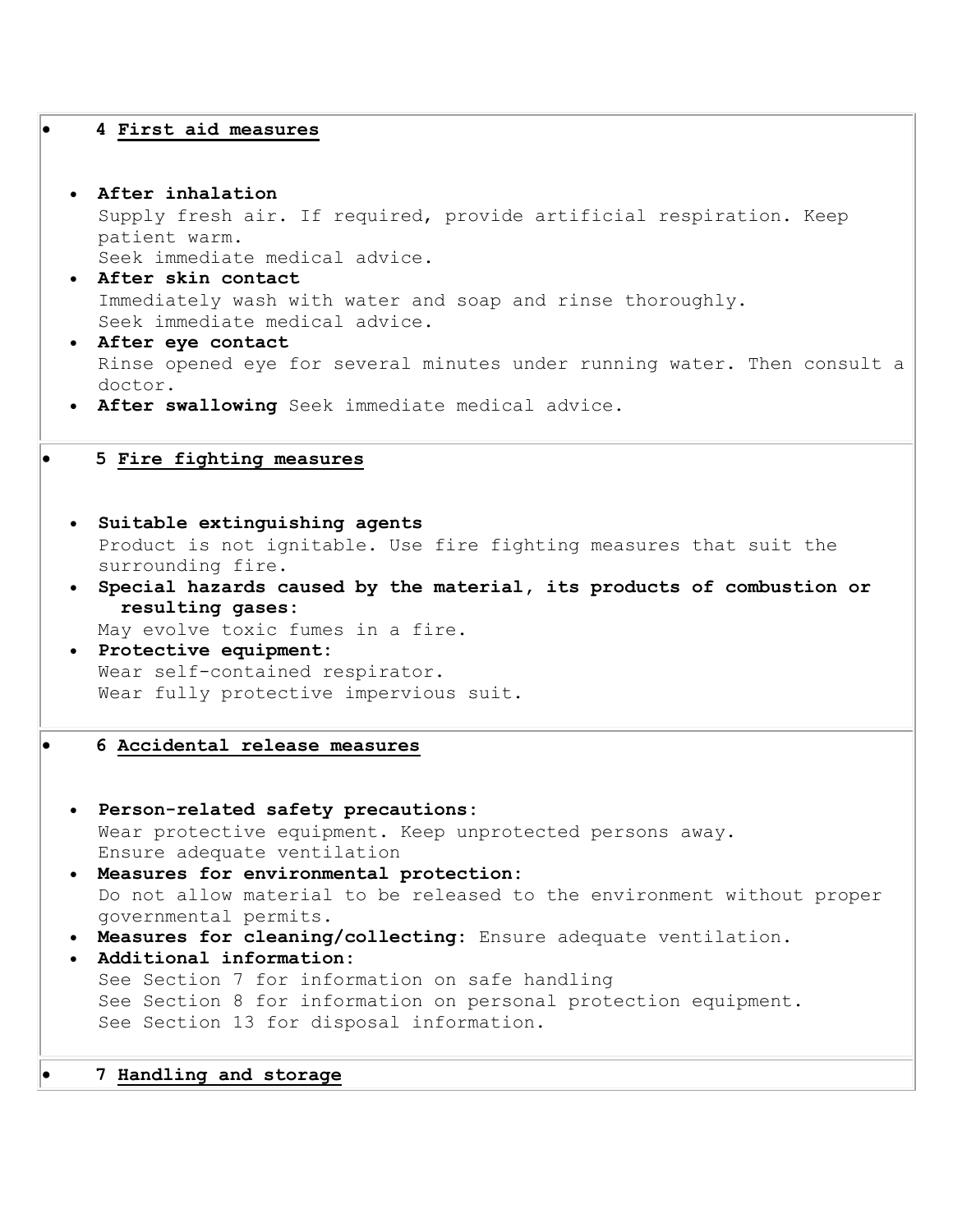#### **4 First aid measures**

- **After inhalation** Supply fresh air. If required, provide artificial respiration. Keep patient warm. Seek immediate medical advice.
- **After skin contact** Immediately wash with water and soap and rinse thoroughly. Seek immediate medical advice.
- **After eye contact** Rinse opened eye for several minutes under running water. Then consult a doctor.
- **After swallowing** Seek immediate medical advice.

#### **5 Fire fighting measures**

- **Suitable extinguishing agents** Product is not ignitable. Use fire fighting measures that suit the surrounding fire.
- **Special hazards caused by the material, its products of combustion or resulting gases:**

May evolve toxic fumes in a fire.

- **Protective equipment:** Wear self-contained respirator. Wear fully protective impervious suit.
	- **6 Accidental release measures**

```
 Person-related safety precautions:
 Wear protective equipment. Keep unprotected persons away. 
 Ensure adequate ventilation 
Measures for environmental protection:
 Do not allow material to be released to the environment without proper 
 governmental permits. 
Measures for cleaning/collecting: Ensure adequate ventilation. 
Additional information:
 See Section 7 for information on safe handling 
 See Section 8 for information on personal protection equipment. 
 See Section 13 for disposal information.
```
#### **7 Handling and storage**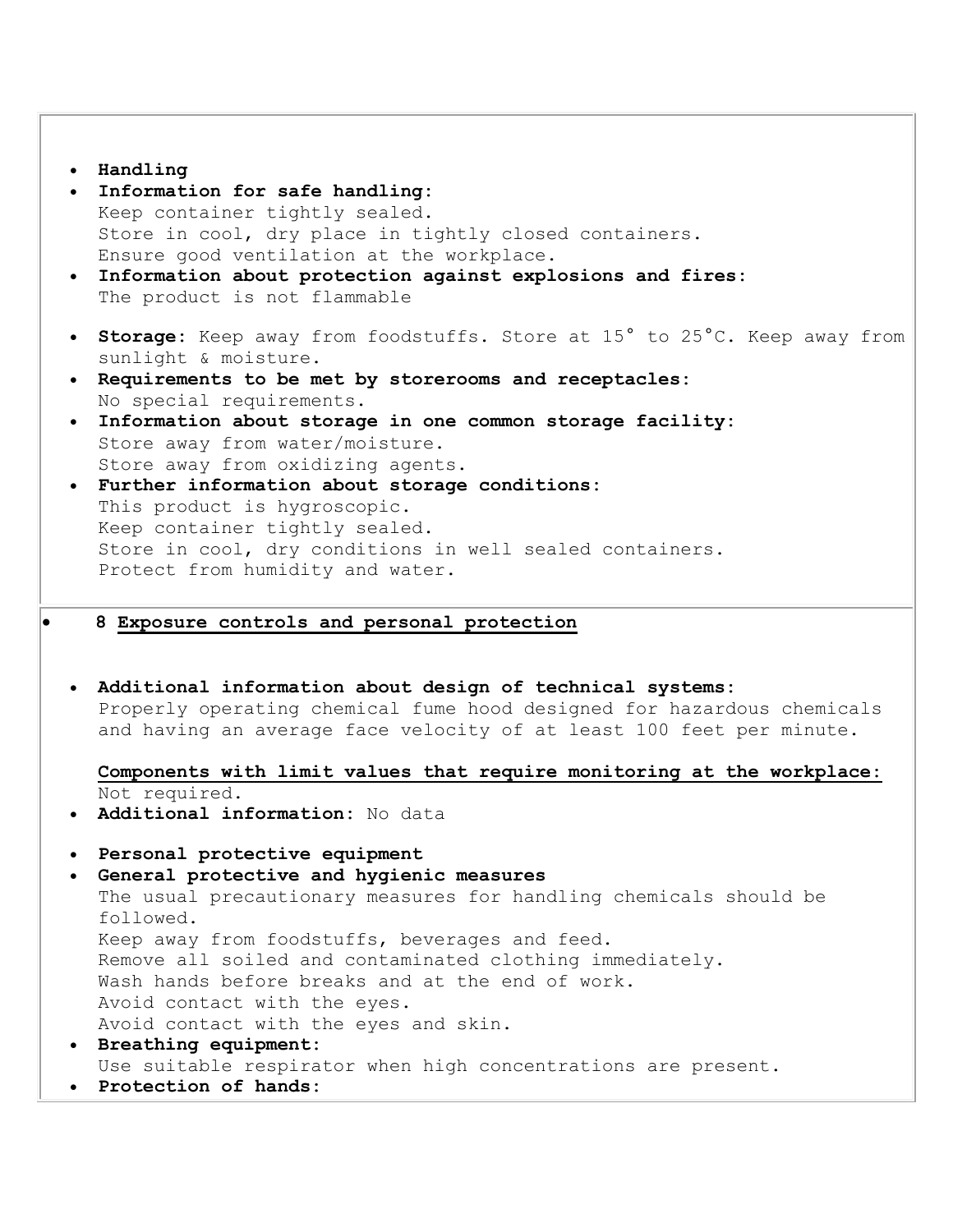#### **Handling**

- **Information for safe handling:** Keep container tightly sealed. Store in cool, dry place in tightly closed containers. Ensure good ventilation at the workplace.
- **Information about protection against explosions and fires:** The product is not flammable
- **Storage:** Keep away from foodstuffs. Store at 15° to 25°C. Keep away from sunlight & moisture.
- **Requirements to be met by storerooms and receptacles:** No special requirements.
- **Information about storage in one common storage facility:** Store away from water/moisture. Store away from oxidizing agents.
- **Further information about storage conditions:** This product is hygroscopic. Keep container tightly sealed. Store in cool, dry conditions in well sealed containers. Protect from humidity and water.
- **8 Exposure controls and personal protection**
- **Additional information about design of technical systems:** Properly operating chemical fume hood designed for hazardous chemicals and having an average face velocity of at least 100 feet per minute.

**Components with limit values that require monitoring at the workplace:**  Not required.

- **Additional information:** No data
- **Personal protective equipment**
- **General protective and hygienic measures**

The usual precautionary measures for handling chemicals should be followed. Keep away from foodstuffs, beverages and feed. Remove all soiled and contaminated clothing immediately. Wash hands before breaks and at the end of work. Avoid contact with the eyes. Avoid contact with the eyes and skin.

- **Breathing equipment:** Use suitable respirator when high concentrations are present.
- **Protection of hands:**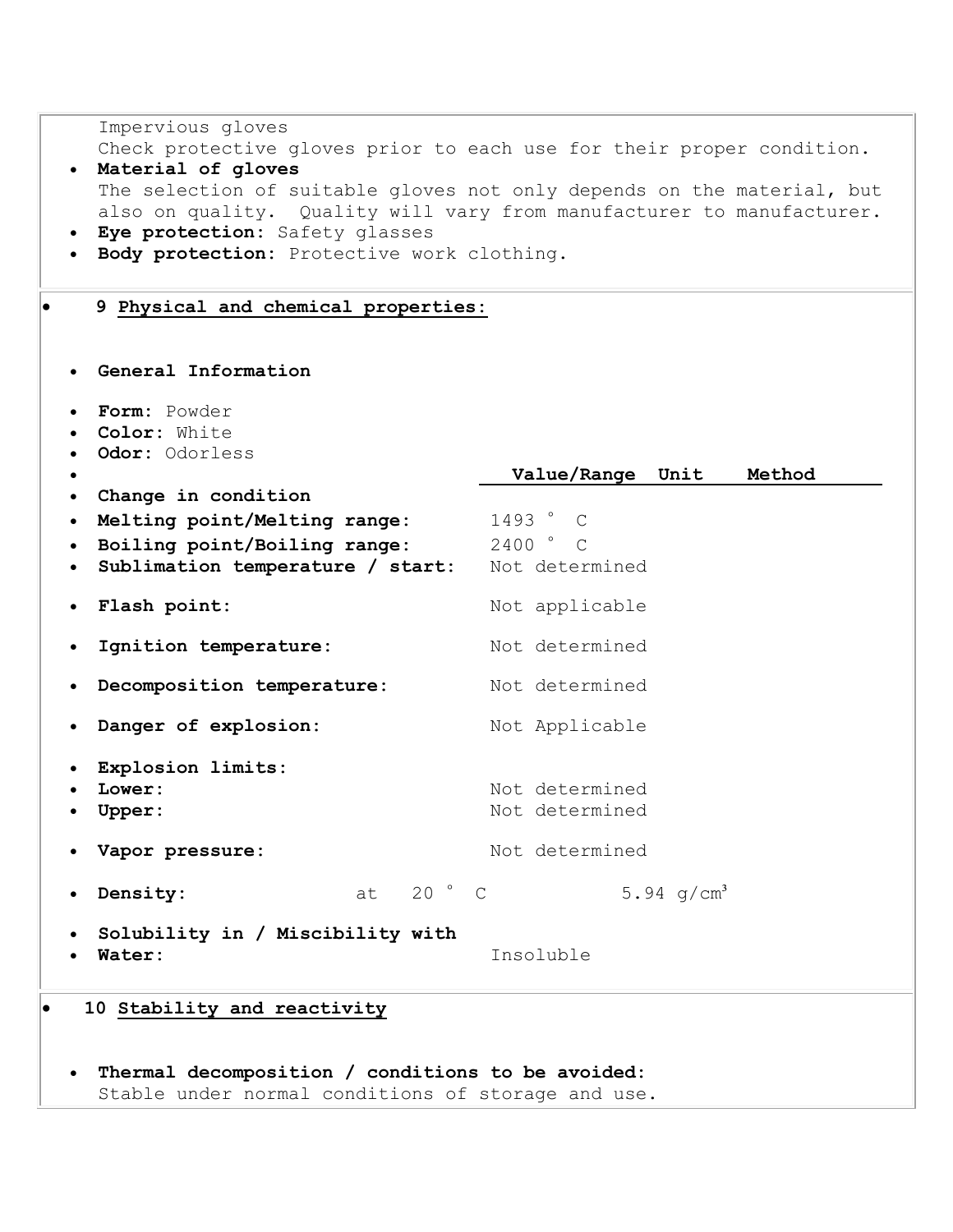| Impervious gloves<br>Material of gloves<br>$\bullet$<br>Eye protection: Safety glasses<br>$\bullet$<br>Body protection: Protective work clothing. | Check protective gloves prior to each use for their proper condition.<br>The selection of suitable gloves not only depends on the material, but<br>also on quality. Quality will vary from manufacturer to manufacturer. |
|---------------------------------------------------------------------------------------------------------------------------------------------------|--------------------------------------------------------------------------------------------------------------------------------------------------------------------------------------------------------------------------|
| 9 Physical and chemical properties:                                                                                                               |                                                                                                                                                                                                                          |
| General Information                                                                                                                               |                                                                                                                                                                                                                          |
| Form: Powder<br>Color: White<br>Odor: Odorless                                                                                                    | Method                                                                                                                                                                                                                   |
| $\bullet$<br>Change in condition<br>$\bullet$<br>Melting point/Melting range:<br>Boiling point/Boiling range:<br>Sublimation temperature / start: | Value/Range Unit<br>1493 ° C<br>$2400$ $\degree$ C<br>Not determined                                                                                                                                                     |
| Flash point:                                                                                                                                      | Not applicable                                                                                                                                                                                                           |
| Ignition temperature:<br>$\bullet$                                                                                                                | Not determined                                                                                                                                                                                                           |
| Decomposition temperature:                                                                                                                        | Not determined                                                                                                                                                                                                           |
| Danger of explosion:<br>$\bullet$                                                                                                                 | Not Applicable                                                                                                                                                                                                           |
| Explosion limits:<br>Lower:<br>Upper:<br>Vapor pressure:                                                                                          | Not determined<br>Not determined<br>Not determined                                                                                                                                                                       |
| at 20 ° C<br>Density:                                                                                                                             | 5.94 $q/cm^3$                                                                                                                                                                                                            |
| Solubility in / Miscibility with<br>Water:                                                                                                        | Insoluble                                                                                                                                                                                                                |
| 10 Stability and reactivity<br>Thermal decomposition / conditions to be avoided:<br>Stable under normal conditions of storage and use.            |                                                                                                                                                                                                                          |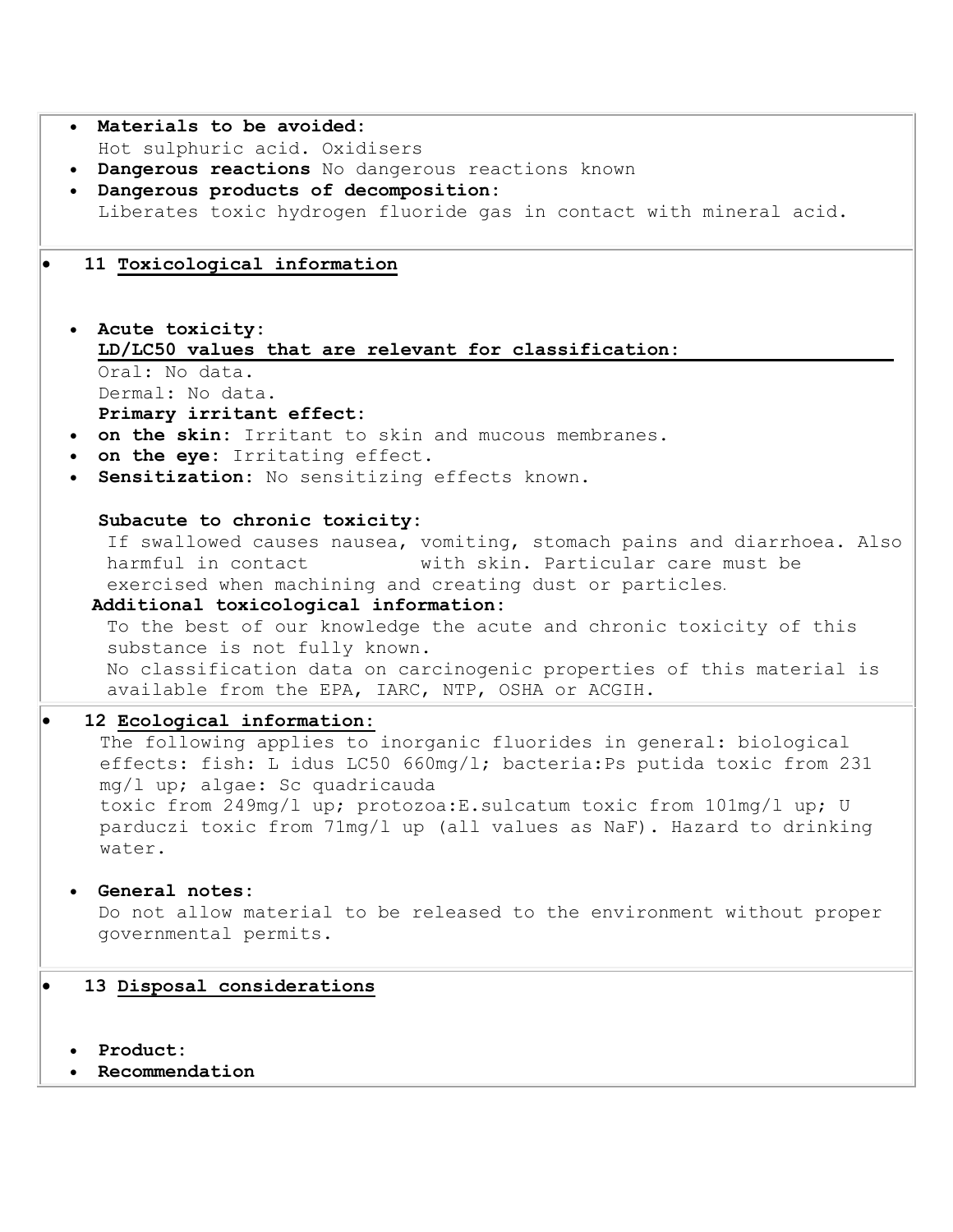| . Materials to be avoided:                                                                                                                                                                                                                                                                                                                  |
|---------------------------------------------------------------------------------------------------------------------------------------------------------------------------------------------------------------------------------------------------------------------------------------------------------------------------------------------|
| Hot sulphuric acid. Oxidisers                                                                                                                                                                                                                                                                                                               |
| . Dangerous reactions No dangerous reactions known                                                                                                                                                                                                                                                                                          |
| · Dangerous products of decomposition:                                                                                                                                                                                                                                                                                                      |
| Liberates toxic hydrogen fluoride gas in contact with mineral acid.                                                                                                                                                                                                                                                                         |
| 11 Toxicological information                                                                                                                                                                                                                                                                                                                |
| • Acute toxicity:<br>LD/LC50 values that are relevant for classification:                                                                                                                                                                                                                                                                   |
| Oral: No data.<br>Dermal: No data.                                                                                                                                                                                                                                                                                                          |
| Primary irritant effect:                                                                                                                                                                                                                                                                                                                    |
| . on the skin: Irritant to skin and mucous membranes.<br>. on the eye: Irritating effect.                                                                                                                                                                                                                                                   |
| Sensitization: No sensitizing effects known.                                                                                                                                                                                                                                                                                                |
| Subacute to chronic toxicity:                                                                                                                                                                                                                                                                                                               |
| If swallowed causes nausea, vomiting, stomach pains and diarrhoea. Also<br>with skin. Particular care must be<br>harmful in contact<br>exercised when machining and creating dust or particles.<br>Additional toxicological information:                                                                                                    |
| To the best of our knowledge the acute and chronic toxicity of this<br>substance is not fully known.<br>No classification data on carcinogenic properties of this material is<br>available from the EPA, IARC, NTP, OSHA or ACGIH.                                                                                                          |
| 12 Ecological information:                                                                                                                                                                                                                                                                                                                  |
| The following applies to inorganic fluorides in general: biological<br>effects: fish: L idus LC50 660mg/l; bacteria: Ps putida toxic from 231<br>mg/l up; algae: Sc quadricauda<br>toxic from 249mg/l up; protozoa: E. sulcatum toxic from 101mg/l up; U<br>parduczi toxic from 71mg/1 up (all values as NaF). Hazard to drinking<br>water. |
|                                                                                                                                                                                                                                                                                                                                             |
| General notes:<br>Do not allow material to be released to the environment without proper<br>governmental permits.                                                                                                                                                                                                                           |
| 13 Disposal considerations                                                                                                                                                                                                                                                                                                                  |
| Product:<br>Recommendation                                                                                                                                                                                                                                                                                                                  |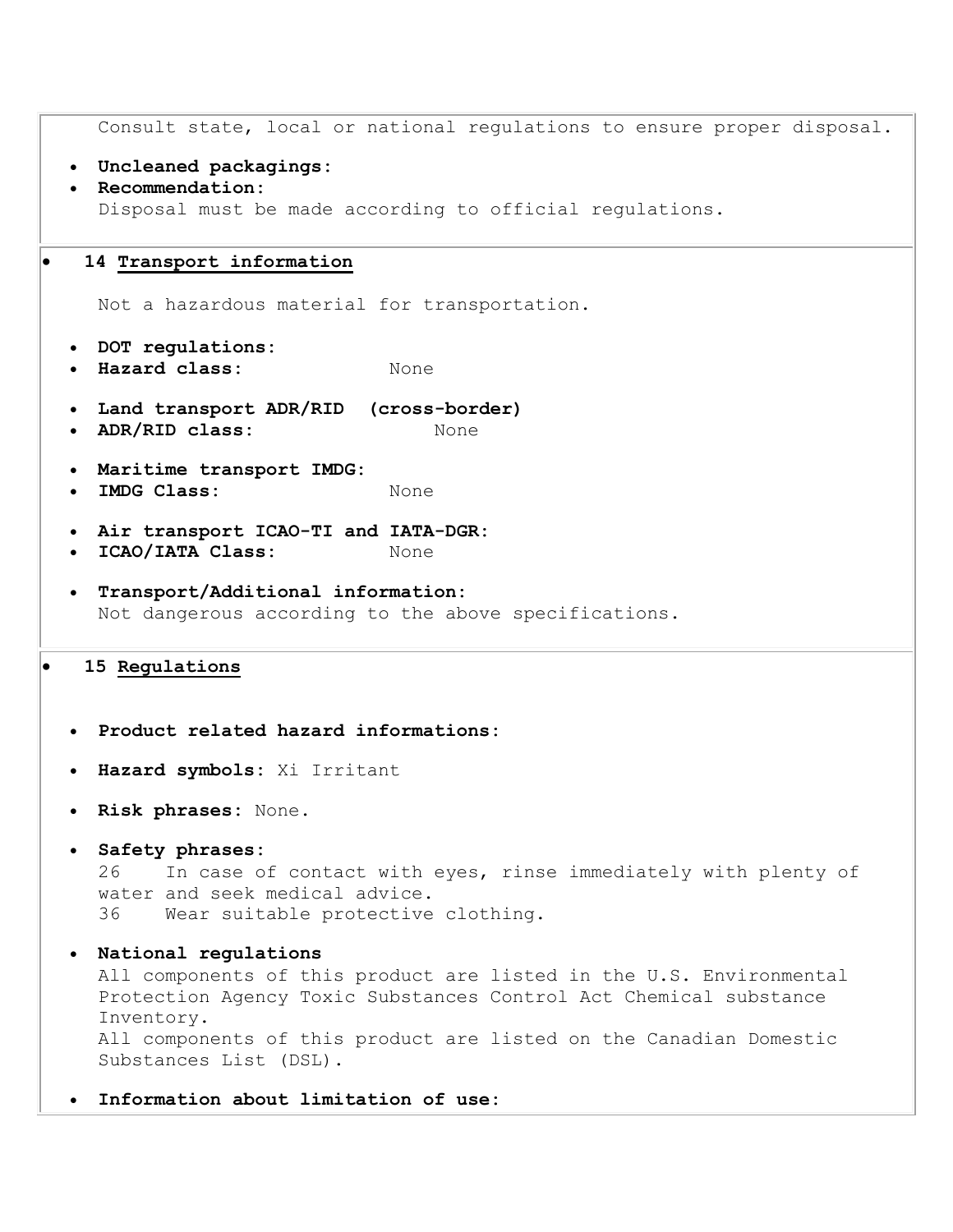```
Consult state, local or national regulations to ensure proper disposal. 
  Uncleaned packagings:
  Recommendation:
   Disposal must be made according to official regulations. 
   14 Transport information
   Not a hazardous material for transportation. 
  DOT regulations:
  Hazard class: None 
  Land transport ADR/RID (cross-border)
  ADR/RID class: None 
  Maritime transport IMDG:
  IMDG Class: None
  Air transport ICAO-TI and IATA-DGR:
  ICAO/IATA Class: None 
  Transport/Additional information:
   Not dangerous according to the above specifications. 
15 Regulations
  Product related hazard informations:
  Hazard symbols: Xi Irritant 
  Risk phrases: None. 
  Safety phrases:
   26 In case of contact with eyes, rinse immediately with plenty of 
   water and seek medical advice. 
   36 Wear suitable protective clothing. 
  National regulations
   All components of this product are listed in the U.S. Environmental 
   Protection Agency Toxic Substances Control Act Chemical substance 
   Inventory. 
   All components of this product are listed on the Canadian Domestic 
   Substances List (DSL). 
   Information about limitation of use:
```